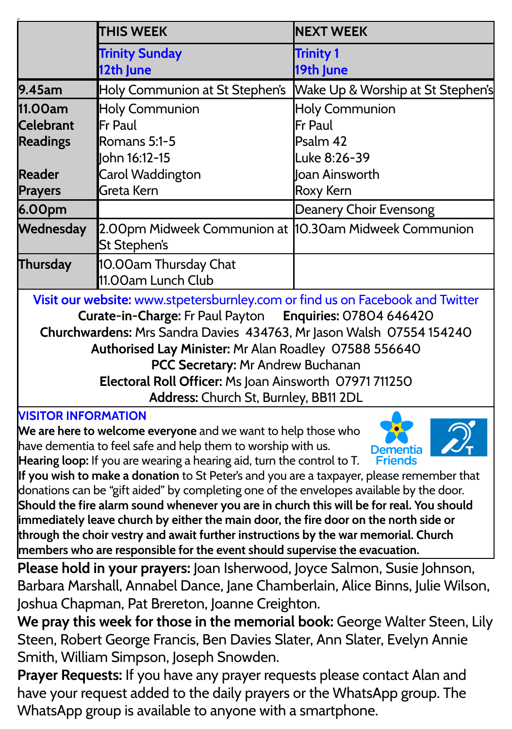|                                                                               | <b>THIS WEEK</b>                                                       | <b>NEXT WEEK</b>                  |
|-------------------------------------------------------------------------------|------------------------------------------------------------------------|-----------------------------------|
|                                                                               | <b>Trinity Sunday</b>                                                  | <b>Trinity 1</b>                  |
|                                                                               | 12th June                                                              | 19th June                         |
| 9.45am                                                                        | Holy Communion at St Stephen's                                         | Wake Up & Worship at St Stephen's |
| 11.00am                                                                       | <b>Holy Communion</b>                                                  | <b>Holy Communion</b>             |
| <b>Celebrant</b>                                                              | Fr Paul                                                                | Fr Paul                           |
| <b>Readings</b>                                                               | Romans 5:1-5                                                           | Psalm 42                          |
|                                                                               | lohn 16:12-15                                                          | Luke 8:26-39                      |
| <b>Reader</b>                                                                 | Carol Waddington                                                       | Joan Ainsworth                    |
| <b>Prayers</b>                                                                | Greta Kern                                                             | Roxy Kern                         |
| 6.00pm                                                                        |                                                                        | Deanery Choir Evensong            |
| Wednesday                                                                     | 2.00pm Midweek Communion at  10.30am Midweek Communion<br>St Stephen's |                                   |
| Thursday                                                                      | 10.00am Thursday Chat<br>11.00am Lunch Club                            |                                   |
| Visit our website: www.stpetersburnley.com or find us on Facebook and Twitter |                                                                        |                                   |
| Curate-in-Charge: Fr Paul Payton Enquiries: 07804 646420                      |                                                                        |                                   |
| Churchwardens: Mrs Sandra Davies 434763, Mr Jason Walsh 07554 154240          |                                                                        |                                   |
| Authorised Lay Minister: Mr Alan Roadley 07588 556640                         |                                                                        |                                   |
| PCC Secretary: Mr Andrew Buchanan                                             |                                                                        |                                   |
| Electoral Roll Officer: Ms Joan Ainsworth 07971 711250                        |                                                                        |                                   |
| Address: Church St, Burnley, BB11 2DL                                         |                                                                        |                                   |
| <b>VISITOR INFORMATION</b>                                                    |                                                                        |                                   |

**We are here to welcome everyone** and we want to help those who have dementia to feel safe and help them to worship with us. **Hearing loop:** If you are wearing a hearing aid, turn the control to T.



**If you wish to make a donation** to St Peter's and you are a taxpayer, please remember that donations can be "gift aided" by completing one of the envelopes available by the door. **Should the fire alarm sound whenever you are in church this will be for real. You should immediately leave church by either the main door, the fire door on the north side or through the choir vestry and await further instructions by the war memorial. Church members who are responsible for the event should supervise the evacuation.**

**Please hold in your prayers:** Joan Isherwood, Joyce Salmon, Susie Johnson, Barbara Marshall, Annabel Dance, Jane Chamberlain, Alice Binns, Julie Wilson, Joshua Chapman, Pat Brereton, Joanne Creighton.

**We pray this week for those in the memorial book:** George Walter Steen, Lily Steen, Robert George Francis, Ben Davies Slater, Ann Slater, Evelyn Annie Smith, William Simpson, Joseph Snowden.

**Prayer Requests:** If you have any prayer requests please contact Alan and have your request added to the daily prayers or the WhatsApp group. The WhatsApp group is available to anyone with a smartphone.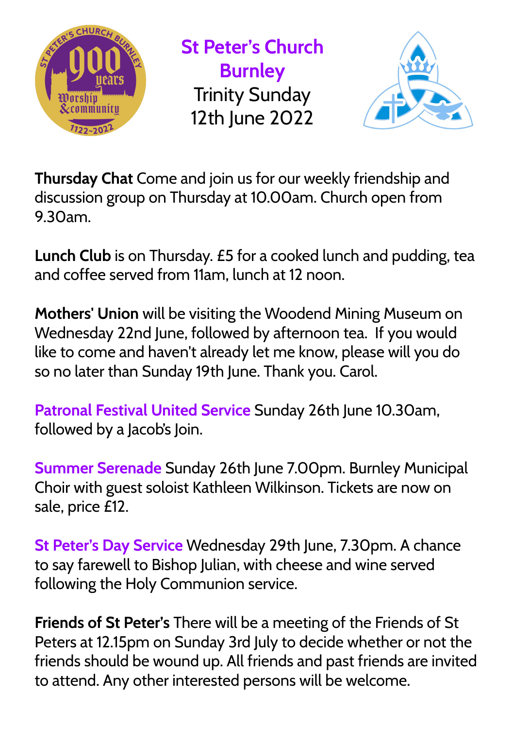

**St Peter's Church Burnley** Trinity Sunday 12th June 2022



**Thursday Chat** Come and join us for our weekly friendship and discussion group on Thursday at 10.00am. Church open from 9.30am.

**Lunch Club** is on Thursday. £5 for a cooked lunch and pudding, tea and coffee served from 11am, lunch at 12 noon.

**Mothers' Union** will be visiting the Woodend Mining Museum on Wednesday 22nd June, followed by afternoon tea. If you would like to come and haven't already let me know, please will you do so no later than Sunday 19th June. Thank you. Carol.

**Patronal Festival United Service** Sunday 26th June 10.30am, followed by a Jacob's Join.

**Summer Serenade** Sunday 26th June 7.00pm. Burnley Municipal Choir with guest soloist Kathleen Wilkinson. Tickets are now on sale, price £12.

**St Peter's Day Service** Wednesday 29th June, 7.30pm. A chance to say farewell to Bishop Julian, with cheese and wine served following the Holy Communion service.

**Friends of St Peter's** There will be a meeting of the Friends of St Peters at 12.15pm on Sunday 3rd July to decide whether or not the friends should be wound up. All friends and past friends are invited to attend. Any other interested persons will be welcome.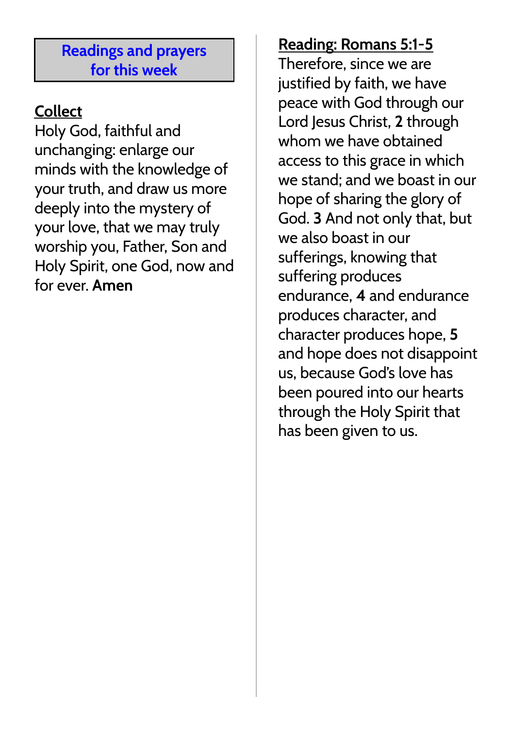#### **Readings and prayers for this week**

# **Collect**

Holy God, faithful and unchanging: enlarge our minds with the knowledge of your truth, and draw us more deeply into the mystery of your love, that we may truly worship you, Father, Son and Holy Spirit, one God, now and for ever. **Amen**

## **Reading: Romans 5:1-5**

Therefore, since we are justified by faith, we have peace with God through our Lord Jesus Christ, **2** through whom we have obtained access to this grace in which we stand; and we boast in our hope of sharing the glory of God. **3** And not only that, but we also boast in our sufferings, knowing that suffering produces endurance, **4** and endurance produces character, and character produces hope, **5** and hope does not disappoint us, because God's love has been poured into our hearts through the Holy Spirit that has been given to us.